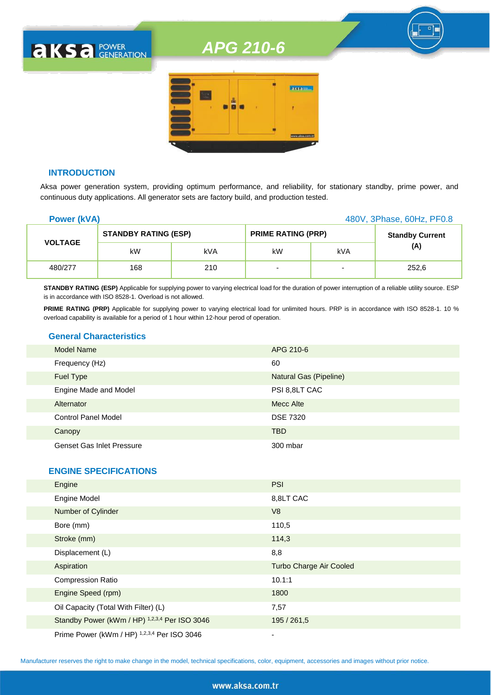

#### **INTRODUCTION**

**AKSA** POWER

Aksa power generation system, providing optimum performance, and reliability, for stationary standby, prime power, and continuous duty applications. All generator sets are factory build, and production tested.

| <b>Power (kVA)</b> |                             |     | 480V, 3Phase, 60Hz, PF0.8 |                          |                        |
|--------------------|-----------------------------|-----|---------------------------|--------------------------|------------------------|
|                    | <b>STANDBY RATING (ESP)</b> |     | <b>PRIME RATING (PRP)</b> |                          | <b>Standby Current</b> |
| <b>VOLTAGE</b>     | kW                          | kVA | kW                        | <b>kVA</b>               | (A)                    |
| 480/277            | 168                         | 210 | -                         | $\overline{\phantom{0}}$ | 252,6                  |

**STANDBY RATING (ESP)** Applicable for supplying power to varying electrical load for the duration of power interruption of a reliable utility source. ESP is in accordance with ISO 8528-1. Overload is not allowed.

PRIME RATING (PRP) Applicable for supplying power to varying electrical load for unlimited hours. PRP is in accordance with ISO 8528-1. 10 % overload capability is available for a period of 1 hour within 12-hour perod of operation.

### **General Characteristics**

| <b>Model Name</b>                | APG 210-6              |
|----------------------------------|------------------------|
| Frequency (Hz)                   | 60                     |
| Fuel Type                        | Natural Gas (Pipeline) |
| Engine Made and Model            | PSI 8,8LT CAC          |
| Alternator                       | Mecc Alte              |
| <b>Control Panel Model</b>       | <b>DSE 7320</b>        |
| Canopy                           | <b>TBD</b>             |
| <b>Genset Gas Inlet Pressure</b> | 300 mbar               |

#### **ENGINE SPECIFICATIONS**

| Engine                                        | <b>PSI</b>                     |
|-----------------------------------------------|--------------------------------|
| <b>Engine Model</b>                           | 8,8LT CAC                      |
| Number of Cylinder                            | V8                             |
| Bore (mm)                                     | 110,5                          |
| Stroke (mm)                                   | 114,3                          |
| Displacement (L)                              | 8,8                            |
| Aspiration                                    | <b>Turbo Charge Air Cooled</b> |
| <b>Compression Ratio</b>                      | 10.1:1                         |
| Engine Speed (rpm)                            | 1800                           |
| Oil Capacity (Total With Filter) (L)          | 7,57                           |
| Standby Power (kWm / HP) 1,2,3,4 Per ISO 3046 | 195 / 261,5                    |
| Prime Power (kWm / HP) 1,2,3,4 Per ISO 3046   | ۰                              |

Manufacturer reserves the right to make change in the model, technical specifications, color, equipment, accessories and images without prior notice.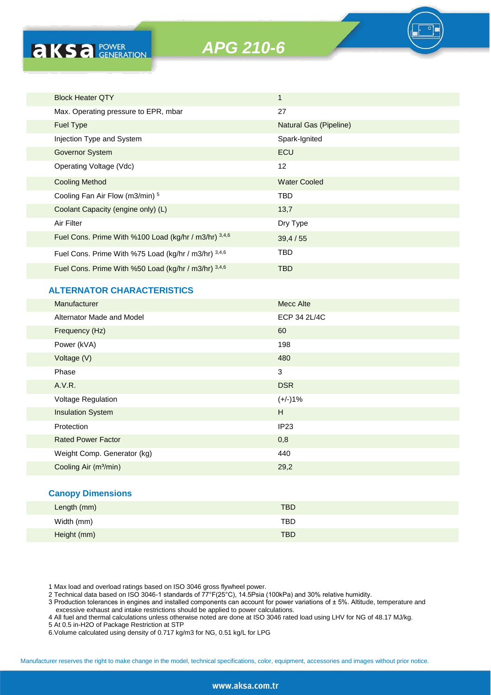

| <b>Block Heater QTY</b>                               | $\mathbf{1}$           |
|-------------------------------------------------------|------------------------|
| Max. Operating pressure to EPR, mbar                  | 27                     |
| Fuel Type                                             | Natural Gas (Pipeline) |
| Injection Type and System                             | Spark-Ignited          |
| Governor System                                       | <b>ECU</b>             |
| Operating Voltage (Vdc)                               | 12                     |
| <b>Cooling Method</b>                                 | <b>Water Cooled</b>    |
| Cooling Fan Air Flow (m3/min) 5                       | TBD                    |
| Coolant Capacity (engine only) (L)                    | 13,7                   |
| Air Filter                                            | Dry Type               |
| Fuel Cons. Prime With %100 Load (kg/hr / m3/hr) 3,4,6 | 39,4/55                |
| Fuel Cons. Prime With %75 Load (kg/hr / m3/hr) 3,4,6  | TBD.                   |
| Fuel Cons. Prime With %50 Load (kg/hr / m3/hr) 3,4,6  | <b>TBD</b>             |
| <b>ALTERNATOR CHARACTERISTICS</b>                     |                        |
| Manufacturer                                          | <b>Mecc Alte</b>       |
| Alternator Made and Model                             | ECP 34 2L/4C           |
| $\sim$ $\sim$ $\sim$                                  |                        |

| Alterriator ividue driu iviouer   | LUI UT LUTU      |
|-----------------------------------|------------------|
| Frequency (Hz)                    | 60               |
| Power (kVA)                       | 198              |
| Voltage (V)                       | 480              |
| Phase                             | 3                |
| A.V.R.                            | <b>DSR</b>       |
| <b>Voltage Regulation</b>         | $(+/-)1%$        |
| <b>Insulation System</b>          | H                |
| Protection                        | IP <sub>23</sub> |
| <b>Rated Power Factor</b>         | 0,8              |
| Weight Comp. Generator (kg)       | 440              |
| Cooling Air (m <sup>3</sup> /min) | 29,2             |
|                                   |                  |

## **Canopy Dimensions**

**aksa POWER** 

| Length (mm) | <b>TBD</b> |  |
|-------------|------------|--|
| Width (mm)  | <b>TBD</b> |  |
| Height (mm) | <b>TBD</b> |  |

1 Max load and overload ratings based on ISO 3046 gross flywheel power.

2 Technical data based on ISO 3046-1 standards of 77°F(25°C), 14.5Psia (100kPa) and 30% relative humidity.

3 Production tolerances in engines and installed components can account for power variations of ± 5%. Altitude, temperature and excessive exhaust and intake restrictions should be applied to power calculations.

4 All fuel and thermal calculations unless otherwise noted are done at ISO 3046 rated load using LHV for NG of 48.17 MJ/kg.

5 At 0.5 in-H2O of Package Restriction at STP

6.Volume calculated using density of 0.717 kg/m3 for NG, 0.51 kg/L for LPG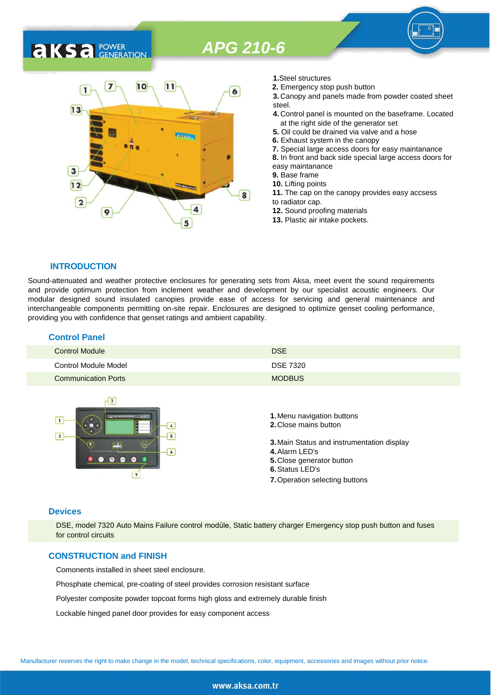

- **1.**Steel structures
- **2.** Emergency stop push button

**3.** Canopy and panels made from powder coated sheet steel.

- **4.** Control panel is mounted on the baseframe. Located at the right side of the generator set
- **5.** Oil could be drained via valve and a hose
- **6.** Exhaust system in the canopy
- **7.** Special large access doors for easy maintanance

**8.** In front and back side special large access doors for easy maintanance

**9.** Base frame

**10.** Lifting points

- **11.** The cap on the canopy provides easy accsess to radiator cap.
- **12.** Sound proofing materials
- **13.** Plastic air intake pockets.

#### **INTRODUCTION**

**AKS** *C* **GENERATION** 

Sound-attenuated and weather protective enclosures for generating sets from Aksa, meet event the sound requirements and provide optimum protection from inclement weather and development by our specialist acoustic engineers. Our modular designed sound insulated canopies provide ease of access for servicing and general maintenance and interchangeable components permitting on-site repair. Enclosures are designed to optimize genset cooling performance, providing you with confidence that genset ratings and ambient capability.

#### **Control Panel**

| <b>Control Module</b>      | <b>DSE</b>      |
|----------------------------|-----------------|
| Control Module Model       | <b>DSE 7320</b> |
| <b>Communication Ports</b> | <b>MODBUS</b>   |



#### **Devices**

DSE, model 7320 Auto Mains Failure control modüle, Static battery charger Emergency stop push button and fuses for control circuits

### **CONSTRUCTION and FINISH**

Comonents installed in sheet steel enclosure.

Phosphate chemical, pre-coating of steel provides corrosion resistant surface

Polyester composite powder topcoat forms high gloss and extremely durable finish

Lockable hinged panel door provides for easy component access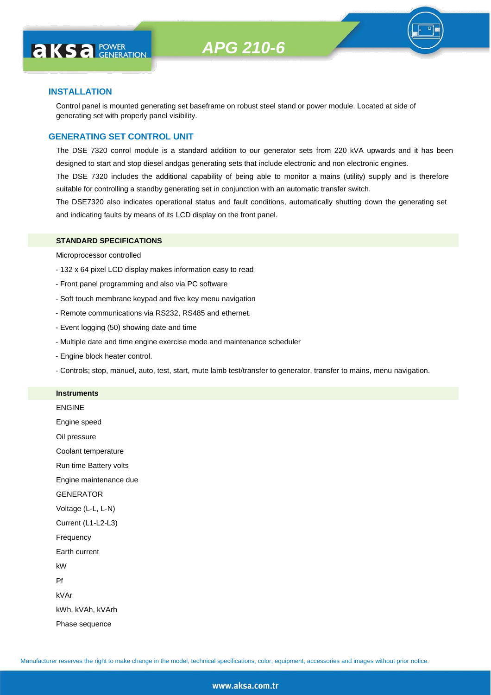

#### **INSTALLATION**

**AKS** *C C <b>CO CENERATION* 

Control panel is mounted generating set baseframe on robust steel stand or power module. Located at side of generating set with properly panel visibility.

### **GENERATING SET CONTROL UNIT**

The DSE 7320 conrol module is a standard addition to our generator sets from 220 kVA upwards and it has been designed to start and stop diesel andgas generating sets that include electronic and non electronic engines.

The DSE 7320 includes the additional capability of being able to monitor a mains (utility) supply and is therefore suitable for controlling a standby generating set in conjunction with an automatic transfer switch.

The DSE7320 also indicates operational status and fault conditions, automatically shutting down the generating set and indicating faults by means of its LCD display on the front panel.

#### **STANDARD SPECIFICATIONS**

Microprocessor controlled

- 132 x 64 pixel LCD display makes information easy to read
- Front panel programming and also via PC software
- Soft touch membrane keypad and five key menu navigation
- Remote communications via RS232, RS485 and ethernet.
- Event logging (50) showing date and time
- Multiple date and time engine exercise mode and maintenance scheduler
- Engine block heater control.
- Controls; stop, manuel, auto, test, start, mute lamb test/transfer to generator, transfer to mains, menu navigation.

#### **Instruments**

ENGINE Engine speed Oil pressure Coolant temperature Run time Battery volts Engine maintenance due **GENERATOR** Voltage (L-L, L-N) Current (L1-L2-L3) Frequency Earth current kW Pf kVAr kWh, kVAh, kVArh Phase sequence

Manufacturer reserves the right to make change in the model, technical specifications, color, equipment, accessories and images without prior notice.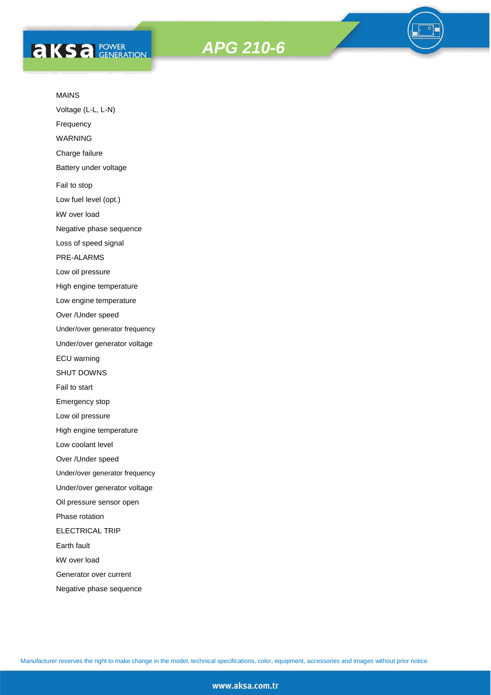



#### MAINS

Voltage (L-L, L-N)

Frequency

WARNING

Charge failure

Battery under voltage

Fail to stop

Low fuel level (opt.)

kW over load

Negative phase sequence

Loss of speed signal

PRE-ALARMS

Low oil pressure

High engine temperature

Low engine temperature

Over /Under speed

Under/over generator frequency

Under/over generator voltage

ECU warning

SHUT DOWNS

Fail to start

Emergency stop

Low oil pressure

High engine temperature

Low coolant level

Over /Under speed

Under/over generator frequency

Under/over generator voltage

Oil pressure sensor open

Phase rotation

ELECTRICAL TRIP

Earth fault

kW over load

Generator over current

Negative phase sequence

Manufacturer reserves the right to make change in the model, technical specifications, color, equipment, accessories and images without prior notice.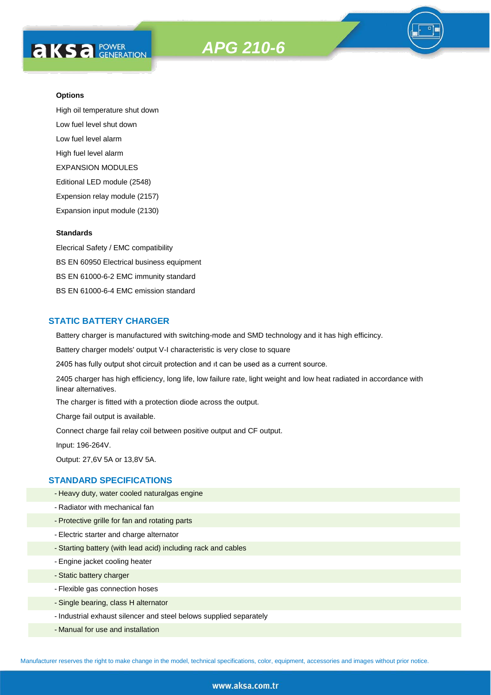

High oil temperature shut down Low fuel level shut down Low fuel level alarm High fuel level alarm EXPANSION MODULES Editional LED module (2548) Expension relay module (2157) Expansion input module (2130)

#### **Standards**

Elecrical Safety / EMC compatibility BS EN 60950 Electrical business equipment BS EN 61000-6-2 EMC immunity standard BS EN 61000-6-4 EMC emission standard

## **STATIC BATTERY CHARGER**

Battery charger is manufactured with switching-mode and SMD technology and it has high efficincy.

Battery charger models' output V-I characteristic is very close to square

2405 has fully output shot circuit protection and ıt can be used as a current source.

2405 charger has high efficiency, long life, low failure rate, light weight and low heat radiated in accordance with linear alternatives.

The charger is fitted with a protection diode across the output.

Charge fail output is available.

Connect charge fail relay coil between positive output and CF output.

Input: 196-264V.

Output: 27,6V 5A or 13,8V 5A.

## **STANDARD SPECIFICATIONS**

- Heavy duty, water cooled naturalgas engine
- Radiator with mechanical fan
- Protective grille for fan and rotating parts
- Electric starter and charge alternator
- Starting battery (with lead acid) including rack and cables
- Engine jacket cooling heater
- Static battery charger
- Flexible gas connection hoses
- Single bearing, class H alternator
- Industrial exhaust silencer and steel belows supplied separately
- Manual for use and installation